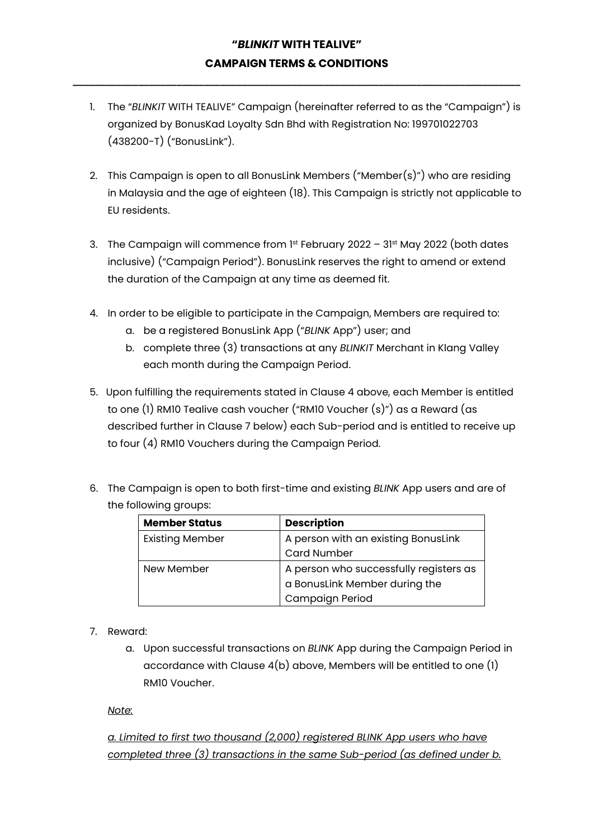**\_\_\_\_\_\_\_\_\_\_\_\_\_\_\_\_\_\_\_\_\_\_\_\_\_\_\_\_\_\_\_\_\_\_\_\_\_\_\_\_\_\_\_\_\_\_\_\_\_\_\_\_\_\_\_\_\_\_\_\_\_\_\_\_\_\_\_\_\_\_\_\_\_\_\_\_\_\_\_\_\_\_**

- 1. The "*BLINKIT* WITH TEALIVE" Campaign (hereinafter referred to as the "Campaign") is organized by BonusKad Loyalty Sdn Bhd with Registration No: 199701022703 (438200-T) ("BonusLink").
- 2. This Campaign is open to all BonusLink Members ("Member(s)") who are residing in Malaysia and the age of eighteen (18). This Campaign is strictly not applicable to EU residents.
- 3. The Campaign will commence from 1st February 2022 31st May 2022 (both dates inclusive) ("Campaign Period"). BonusLink reserves the right to amend or extend the duration of the Campaign at any time as deemed fit.
- 4. In order to be eligible to participate in the Campaign, Members are required to:
	- a. be a registered BonusLink App ("*BLINK* App") user; and
	- b. complete three (3) transactions at any *BLINKIT* Merchant in Klang Valley each month during the Campaign Period.
- 5. Upon fulfilling the requirements stated in Clause 4 above, each Member is entitled to one (1) RM10 Tealive cash voucher ("RM10 Voucher (s)") as a Reward (as described further in Clause 7 below) each Sub-period and is entitled to receive up to four (4) RM10 Vouchers during the Campaign Period.
- 6. The Campaign is open to both first-time and existing *BLINK* App users and are of the following groups:

| <b>Member Status</b>   | <b>Description</b>                     |  |
|------------------------|----------------------------------------|--|
| <b>Existing Member</b> | A person with an existing BonusLink    |  |
|                        | <b>Card Number</b>                     |  |
| New Member             | A person who successfully registers as |  |
|                        | a BonusLink Member during the          |  |
|                        | Campaign Period                        |  |

- 7. Reward:
	- a. Upon successful transactions on *BLINK* App during the Campaign Period in accordance with Clause  $4(b)$  above, Members will be entitled to one  $(l)$ RM10 Voucher.

#### *Note:*

*a. Limited to first two thousand (2,000) registered BLINK App users who have completed three (3) transactions in the same Sub-period (as defined under b.*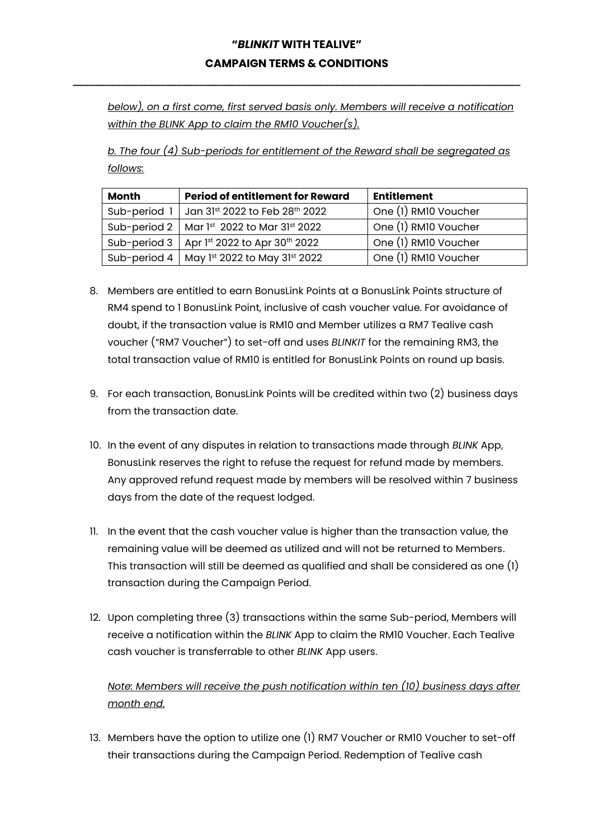**\_\_\_\_\_\_\_\_\_\_\_\_\_\_\_\_\_\_\_\_\_\_\_\_\_\_\_\_\_\_\_\_\_\_\_\_\_\_\_\_\_\_\_\_\_\_\_\_\_\_\_\_\_\_\_\_\_\_\_\_\_\_\_\_\_\_\_\_\_\_\_\_\_\_\_\_\_\_\_\_\_\_**

*below), on a first come, first served basis only. Members will receive a notification within the BLINK App to claim the RM10 Voucher(s).*

*b. The four (4) Sub-periods for entitlement of the Reward shall be segregated as follows:*

| <b>Month</b> | <b>Period of entitlement for Reward</b>      | <b>Entitlement</b>   |
|--------------|----------------------------------------------|----------------------|
| Sub-period 1 | Jan 31st 2022 to Feb 28th 2022               | One (1) RM10 Voucher |
|              | Sub-period 2   Mar 1st 2022 to Mar 31st 2022 | One (1) RM10 Voucher |
| Sub-period 3 | Apr 1st 2022 to Apr 30th 2022                | One (1) RM10 Voucher |
| Sub-period 4 | May 1st 2022 to May 31st 2022                | One (1) RM10 Voucher |

- 8. Members are entitled to earn BonusLink Points at a BonusLink Points structure of RM4 spend to 1 BonusLink Point, inclusive of cash voucher value. For avoidance of doubt, if the transaction value is RM10 and Member utilizes a RM7 Tealive cash voucher ("RM7 Voucher") to set-off and uses *BLINKIT* for the remaining RM3, the total transaction value of RM10 is entitled for BonusLink Points on round up basis.
- 9. For each transaction, BonusLink Points will be credited within two (2) business days from the transaction date.
- 10. In the event of any disputes in relation to transactions made through *BLINK* App, BonusLink reserves the right to refuse the request for refund made by members. Any approved refund request made by members will be resolved within 7 business days from the date of the request lodged.
- 11. In the event that the cash voucher value is higher than the transaction value, the remaining value will be deemed as utilized and will not be returned to Members. This transaction will still be deemed as qualified and shall be considered as one (1) transaction during the Campaign Period.
- 12. Upon completing three (3) transactions within the same Sub-period, Members will receive a notification within the *BLINK* App to claim the RM10 Voucher. Each Tealive cash voucher is transferrable to other *BLINK* App users.

*Note: Members will receive the push notification within ten (10) business days after month end.*

13. Members have the option to utilize one (1) RM7 Voucher or RM10 Voucher to set-off their transactions during the Campaign Period. Redemption of Tealive cash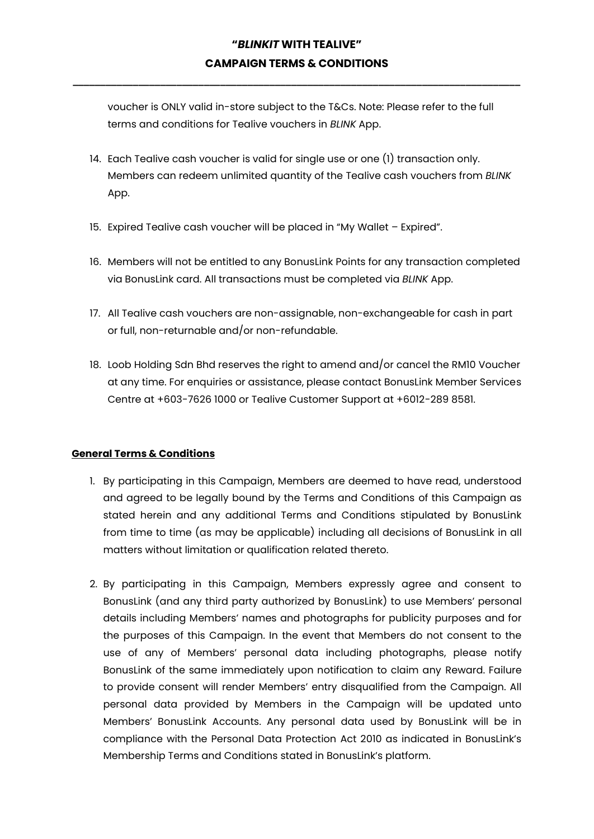**\_\_\_\_\_\_\_\_\_\_\_\_\_\_\_\_\_\_\_\_\_\_\_\_\_\_\_\_\_\_\_\_\_\_\_\_\_\_\_\_\_\_\_\_\_\_\_\_\_\_\_\_\_\_\_\_\_\_\_\_\_\_\_\_\_\_\_\_\_\_\_\_\_\_\_\_\_\_\_\_\_\_**

voucher is ONLY valid in-store subject to the T&Cs. Note: Please refer to the full terms and conditions for Tealive vouchers in *BLINK* App.

- 14. Each Tealive cash voucher is valid for single use or one (1) transaction only. Members can redeem unlimited quantity of the Tealive cash vouchers from *BLINK* App.
- 15. Expired Tealive cash voucher will be placed in "My Wallet Expired".
- 16. Members will not be entitled to any BonusLink Points for any transaction completed via BonusLink card. All transactions must be completed via *BLINK* App.
- 17. All Tealive cash vouchers are non-assignable, non-exchangeable for cash in part or full, non-returnable and/or non-refundable.
- 18. Loob Holding Sdn Bhd reserves the right to amend and/or cancel the RM10 Voucher at any time. For enquiries or assistance, please contact BonusLink Member Services Centre at +603-7626 1000 or Tealive Customer Support at +6012-289 8581.

#### **General Terms & Conditions**

- 1. By participating in this Campaign, Members are deemed to have read, understood and agreed to be legally bound by the Terms and Conditions of this Campaign as stated herein and any additional Terms and Conditions stipulated by BonusLink from time to time (as may be applicable) including all decisions of BonusLink in all matters without limitation or qualification related thereto.
- 2. By participating in this Campaign, Members expressly agree and consent to BonusLink (and any third party authorized by BonusLink) to use Members' personal details including Members' names and photographs for publicity purposes and for the purposes of this Campaign. In the event that Members do not consent to the use of any of Members' personal data including photographs, please notify BonusLink of the same immediately upon notification to claim any Reward. Failure to provide consent will render Members' entry disqualified from the Campaign. All personal data provided by Members in the Campaign will be updated unto Members' BonusLink Accounts. Any personal data used by BonusLink will be in compliance with the Personal Data Protection Act 2010 as indicated in BonusLink's Membership Terms and Conditions stated in BonusLink's platform.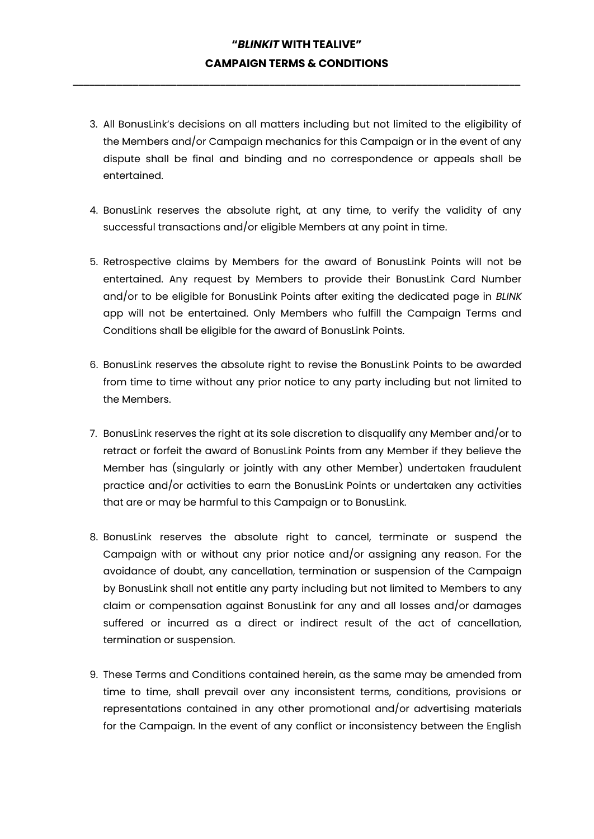**\_\_\_\_\_\_\_\_\_\_\_\_\_\_\_\_\_\_\_\_\_\_\_\_\_\_\_\_\_\_\_\_\_\_\_\_\_\_\_\_\_\_\_\_\_\_\_\_\_\_\_\_\_\_\_\_\_\_\_\_\_\_\_\_\_\_\_\_\_\_\_\_\_\_\_\_\_\_\_\_\_\_**

- 3. All BonusLink's decisions on all matters including but not limited to the eligibility of the Members and/or Campaign mechanics for this Campaign or in the event of any dispute shall be final and binding and no correspondence or appeals shall be entertained.
- 4. BonusLink reserves the absolute right, at any time, to verify the validity of any successful transactions and/or eligible Members at any point in time.
- 5. Retrospective claims by Members for the award of BonusLink Points will not be entertained. Any request by Members to provide their BonusLink Card Number and/or to be eligible for BonusLink Points after exiting the dedicated page in *BLINK* app will not be entertained. Only Members who fulfill the Campaign Terms and Conditions shall be eligible for the award of BonusLink Points.
- 6. BonusLink reserves the absolute right to revise the BonusLink Points to be awarded from time to time without any prior notice to any party including but not limited to the Members.
- 7. BonusLink reserves the right at its sole discretion to disqualify any Member and/or to retract or forfeit the award of BonusLink Points from any Member if they believe the Member has (singularly or jointly with any other Member) undertaken fraudulent practice and/or activities to earn the BonusLink Points or undertaken any activities that are or may be harmful to this Campaign or to BonusLink.
- 8. BonusLink reserves the absolute right to cancel, terminate or suspend the Campaign with or without any prior notice and/or assigning any reason. For the avoidance of doubt, any cancellation, termination or suspension of the Campaign by BonusLink shall not entitle any party including but not limited to Members to any claim or compensation against BonusLink for any and all losses and/or damages suffered or incurred as a direct or indirect result of the act of cancellation, termination or suspension.
- 9. These Terms and Conditions contained herein, as the same may be amended from time to time, shall prevail over any inconsistent terms, conditions, provisions or representations contained in any other promotional and/or advertising materials for the Campaign. In the event of any conflict or inconsistency between the English